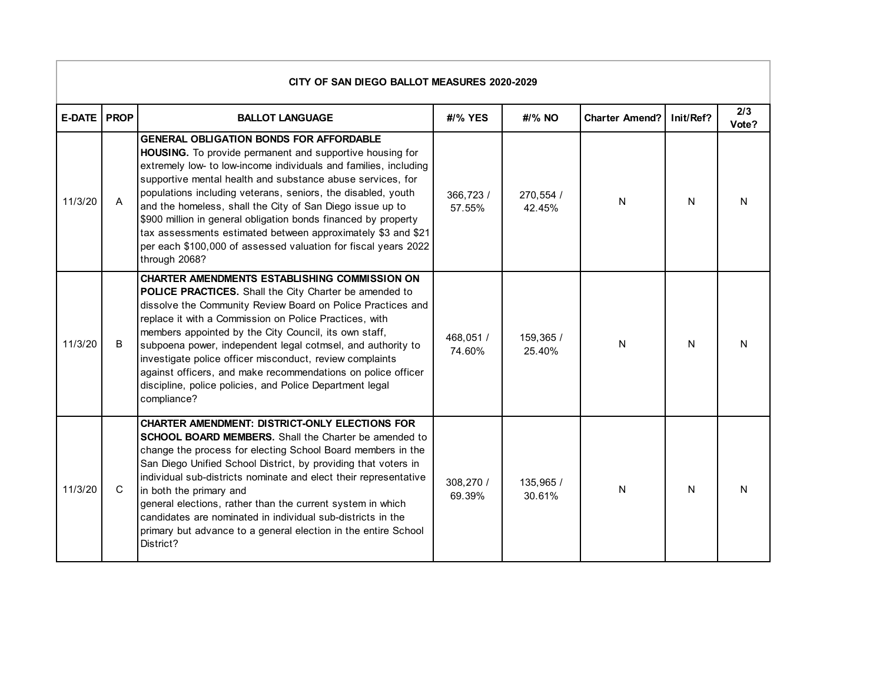| CITY OF SAN DIEGO BALLOT MEASURES 2020-2029 |                |                                                                                                                                                                                                                                                                                                                                                                                                                                                                                                                                                                                                |                     |                     |                       |           |              |  |  |  |  |  |
|---------------------------------------------|----------------|------------------------------------------------------------------------------------------------------------------------------------------------------------------------------------------------------------------------------------------------------------------------------------------------------------------------------------------------------------------------------------------------------------------------------------------------------------------------------------------------------------------------------------------------------------------------------------------------|---------------------|---------------------|-----------------------|-----------|--------------|--|--|--|--|--|
| <b>E-DATE PROP</b>                          |                | <b>BALLOT LANGUAGE</b>                                                                                                                                                                                                                                                                                                                                                                                                                                                                                                                                                                         | #/% YES             | #/% NO              | <b>Charter Amend?</b> | Init/Ref? | 2/3<br>Vote? |  |  |  |  |  |
| 11/3/20                                     | $\overline{A}$ | <b>GENERAL OBLIGATION BONDS FOR AFFORDABLE</b><br>HOUSING. To provide permanent and supportive housing for<br>extremely low- to low-income individuals and families, including<br>supportive mental health and substance abuse services, for<br>populations including veterans, seniors, the disabled, youth<br>and the homeless, shall the City of San Diego issue up to<br>\$900 million in general obligation bonds financed by property<br>tax assessments estimated between approximately \$3 and \$21<br>per each \$100,000 of assessed valuation for fiscal years 2022<br>through 2068? | 366,723 /<br>57.55% | 270,554 /<br>42.45% | N                     | N         | N            |  |  |  |  |  |
| 11/3/20                                     | B              | <b>CHARTER AMENDMENTS ESTABLISHING COMMISSION ON</b><br><b>POLICE PRACTICES.</b> Shall the City Charter be amended to<br>dissolve the Community Review Board on Police Practices and<br>replace it with a Commission on Police Practices, with<br>members appointed by the City Council, its own staff,<br>subpoena power, independent legal cotmsel, and authority to<br>investigate police officer misconduct, review complaints<br>against officers, and make recommendations on police officer<br>discipline, police policies, and Police Department legal<br>compliance?                  | 468,051 /<br>74.60% | 159,365 /<br>25.40% | N                     | N         | N            |  |  |  |  |  |
| 11/3/20                                     | $\mathsf C$    | <b>CHARTER AMENDMENT: DISTRICT-ONLY ELECTIONS FOR</b><br><b>SCHOOL BOARD MEMBERS.</b> Shall the Charter be amended to<br>change the process for electing School Board members in the<br>San Diego Unified School District, by providing that voters in<br>individual sub-districts nominate and elect their representative<br>in both the primary and<br>general elections, rather than the current system in which<br>candidates are nominated in individual sub-districts in the<br>primary but advance to a general election in the entire School<br>District?                              | 308,270 /<br>69.39% | 135,965 /<br>30.61% | N                     | N         | N            |  |  |  |  |  |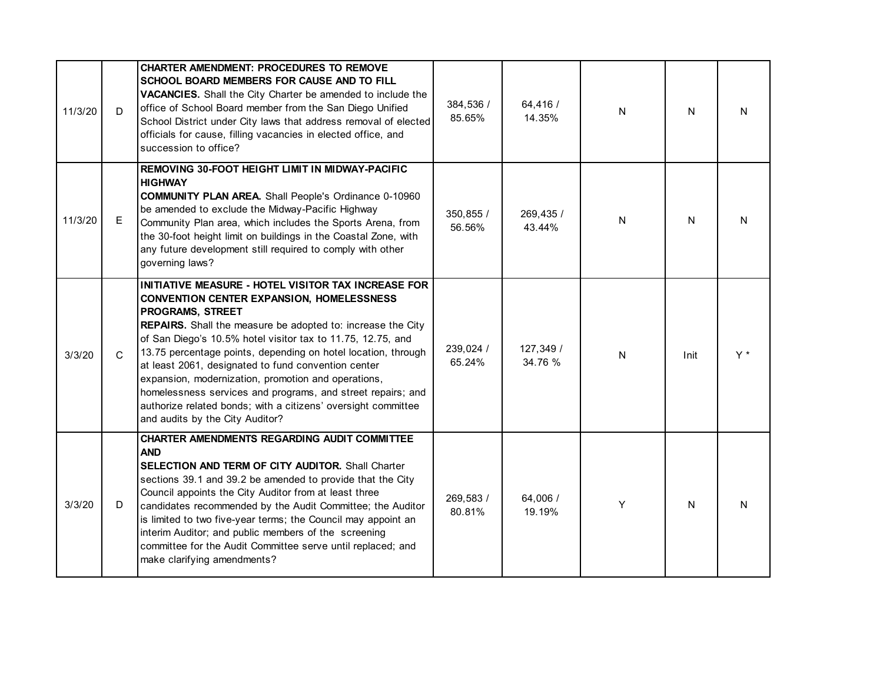| 11/3/20 | D            | <b>CHARTER AMENDMENT: PROCEDURES TO REMOVE</b><br>SCHOOL BOARD MEMBERS FOR CAUSE AND TO FILL<br>VACANCIES. Shall the City Charter be amended to include the<br>office of School Board member from the San Diego Unified<br>School District under City laws that address removal of elected<br>officials for cause, filling vacancies in elected office, and<br>succession to office?                                                                                                                                                                                                                        | 384,536 /<br>85.65% | 64,416 /<br>14.35%   | N | N    | N  |
|---------|--------------|-------------------------------------------------------------------------------------------------------------------------------------------------------------------------------------------------------------------------------------------------------------------------------------------------------------------------------------------------------------------------------------------------------------------------------------------------------------------------------------------------------------------------------------------------------------------------------------------------------------|---------------------|----------------------|---|------|----|
| 11/3/20 | Е            | REMOVING 30-FOOT HEIGHT LIMIT IN MIDWAY-PACIFIC<br><b>HIGHWAY</b><br><b>COMMUNITY PLAN AREA.</b> Shall People's Ordinance 0-10960<br>be amended to exclude the Midway-Pacific Highway<br>Community Plan area, which includes the Sports Arena, from<br>the 30-foot height limit on buildings in the Coastal Zone, with<br>any future development still required to comply with other<br>governing laws?                                                                                                                                                                                                     | 350,855 /<br>56.56% | 269,435 /<br>43.44%  | N | N    | N  |
| 3/3/20  | $\mathsf{C}$ | INITIATIVE MEASURE - HOTEL VISITOR TAX INCREASE FOR<br><b>CONVENTION CENTER EXPANSION, HOMELESSNESS</b><br>PROGRAMS, STREET<br>REPAIRS. Shall the measure be adopted to: increase the City<br>of San Diego's 10.5% hotel visitor tax to 11.75, 12.75, and<br>13.75 percentage points, depending on hotel location, through<br>at least 2061, designated to fund convention center<br>expansion, modernization, promotion and operations,<br>homelessness services and programs, and street repairs; and<br>authorize related bonds; with a citizens' oversight committee<br>and audits by the City Auditor? | 239,024 /<br>65.24% | 127,349 /<br>34.76 % | N | Init | Y* |
| 3/3/20  | D            | CHARTER AMENDMENTS REGARDING AUDIT COMMITTEE<br><b>AND</b><br><b>SELECTION AND TERM OF CITY AUDITOR.</b> Shall Charter<br>sections 39.1 and 39.2 be amended to provide that the City<br>Council appoints the City Auditor from at least three<br>candidates recommended by the Audit Committee; the Auditor<br>is limited to two five-year terms; the Council may appoint an<br>interim Auditor; and public members of the screening<br>committee for the Audit Committee serve until replaced; and<br>make clarifying amendments?                                                                          | 269,583 /<br>80.81% | 64,006 /<br>19.19%   | Y | N    | N  |